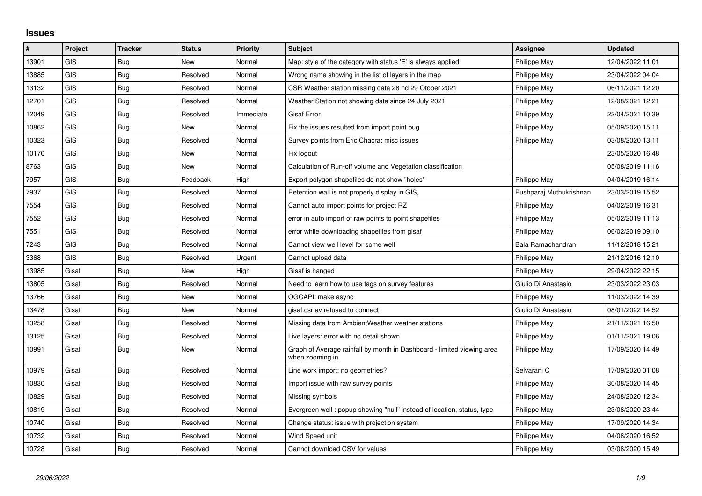## **Issues**

| ∦     | Project    | <b>Tracker</b> | <b>Status</b> | <b>Priority</b> | <b>Subject</b>                                                                            | <b>Assignee</b>         | <b>Updated</b>   |
|-------|------------|----------------|---------------|-----------------|-------------------------------------------------------------------------------------------|-------------------------|------------------|
| 13901 | GIS        | <b>Bug</b>     | New           | Normal          | Map: style of the category with status 'E' is always applied                              | Philippe May            | 12/04/2022 11:01 |
| 13885 | GIS        | Bug            | Resolved      | Normal          | Wrong name showing in the list of layers in the map                                       | Philippe May            | 23/04/2022 04:04 |
| 13132 | <b>GIS</b> | Bug            | Resolved      | Normal          | CSR Weather station missing data 28 nd 29 Otober 2021                                     | Philippe May            | 06/11/2021 12:20 |
| 12701 | <b>GIS</b> | <b>Bug</b>     | Resolved      | Normal          | Weather Station not showing data since 24 July 2021                                       | Philippe May            | 12/08/2021 12:21 |
| 12049 | GIS        | <b>Bug</b>     | Resolved      | Immediate       | <b>Gisaf Error</b>                                                                        | Philippe May            | 22/04/2021 10:39 |
| 10862 | <b>GIS</b> | Bug            | New           | Normal          | Fix the issues resulted from import point bug                                             | Philippe May            | 05/09/2020 15:11 |
| 10323 | <b>GIS</b> | Bug            | Resolved      | Normal          | Survey points from Eric Chacra: misc issues                                               | Philippe May            | 03/08/2020 13:11 |
| 10170 | <b>GIS</b> | <b>Bug</b>     | New           | Normal          | Fix logout                                                                                |                         | 23/05/2020 16:48 |
| 8763  | <b>GIS</b> | Bug            | New           | Normal          | Calculation of Run-off volume and Vegetation classification                               |                         | 05/08/2019 11:16 |
| 7957  | GIS        | Bug            | Feedback      | High            | Export polygon shapefiles do not show "holes"                                             | Philippe May            | 04/04/2019 16:14 |
| 7937  | <b>GIS</b> | <b>Bug</b>     | Resolved      | Normal          | Retention wall is not properly display in GIS,                                            | Pushparaj Muthukrishnan | 23/03/2019 15:52 |
| 7554  | <b>GIS</b> | <b>Bug</b>     | Resolved      | Normal          | Cannot auto import points for project RZ                                                  | Philippe May            | 04/02/2019 16:31 |
| 7552  | GIS        | <b>Bug</b>     | Resolved      | Normal          | error in auto import of raw points to point shapefiles                                    | Philippe May            | 05/02/2019 11:13 |
| 7551  | GIS        | <b>Bug</b>     | Resolved      | Normal          | error while downloading shapefiles from gisaf                                             | Philippe May            | 06/02/2019 09:10 |
| 7243  | <b>GIS</b> | Bug            | Resolved      | Normal          | Cannot view well level for some well                                                      | Bala Ramachandran       | 11/12/2018 15:21 |
| 3368  | GIS        | Bug            | Resolved      | Urgent          | Cannot upload data                                                                        | Philippe May            | 21/12/2016 12:10 |
| 13985 | Gisaf      | Bug            | <b>New</b>    | High            | Gisaf is hanged                                                                           | Philippe May            | 29/04/2022 22:15 |
| 13805 | Gisaf      | Bug            | Resolved      | Normal          | Need to learn how to use tags on survey features                                          | Giulio Di Anastasio     | 23/03/2022 23:03 |
| 13766 | Gisaf      | <b>Bug</b>     | <b>New</b>    | Normal          | OGCAPI: make async                                                                        | Philippe May            | 11/03/2022 14:39 |
| 13478 | Gisaf      | <b>Bug</b>     | New           | Normal          | gisaf.csr.av refused to connect                                                           | Giulio Di Anastasio     | 08/01/2022 14:52 |
| 13258 | Gisaf      | <b>Bug</b>     | Resolved      | Normal          | Missing data from Ambient Weather weather stations                                        | Philippe May            | 21/11/2021 16:50 |
| 13125 | Gisaf      | <b>Bug</b>     | Resolved      | Normal          | Live layers: error with no detail shown                                                   | Philippe May            | 01/11/2021 19:06 |
| 10991 | Gisaf      | Bug            | New           | Normal          | Graph of Average rainfall by month in Dashboard - limited viewing area<br>when zooming in | Philippe May            | 17/09/2020 14:49 |
| 10979 | Gisaf      | <b>Bug</b>     | Resolved      | Normal          | Line work import: no geometries?                                                          | Selvarani C             | 17/09/2020 01:08 |
| 10830 | Gisaf      | <b>Bug</b>     | Resolved      | Normal          | Import issue with raw survey points                                                       | Philippe May            | 30/08/2020 14:45 |
| 10829 | Gisaf      | Bug            | Resolved      | Normal          | Missing symbols                                                                           | Philippe May            | 24/08/2020 12:34 |
| 10819 | Gisaf      | Bug            | Resolved      | Normal          | Evergreen well: popup showing "null" instead of location, status, type                    | Philippe May            | 23/08/2020 23:44 |
| 10740 | Gisaf      | Bug            | Resolved      | Normal          | Change status: issue with projection system                                               | Philippe May            | 17/09/2020 14:34 |
| 10732 | Gisaf      | <b>Bug</b>     | Resolved      | Normal          | Wind Speed unit                                                                           | Philippe May            | 04/08/2020 16:52 |
| 10728 | Gisaf      | <b>Bug</b>     | Resolved      | Normal          | Cannot download CSV for values                                                            | Philippe May            | 03/08/2020 15:49 |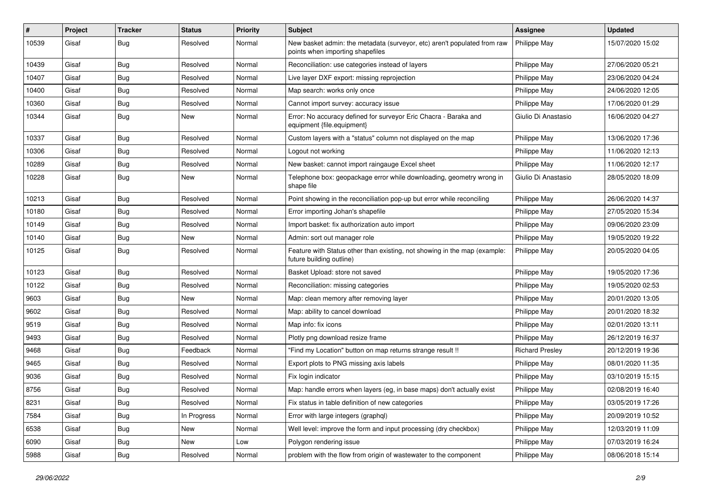| #     | Project | <b>Tracker</b> | <b>Status</b> | <b>Priority</b> | <b>Subject</b>                                                                                               | Assignee               | <b>Updated</b>   |
|-------|---------|----------------|---------------|-----------------|--------------------------------------------------------------------------------------------------------------|------------------------|------------------|
| 10539 | Gisaf   | Bug            | Resolved      | Normal          | New basket admin: the metadata (surveyor, etc) aren't populated from raw<br>points when importing shapefiles | Philippe May           | 15/07/2020 15:02 |
| 10439 | Gisaf   | Bug            | Resolved      | Normal          | Reconciliation: use categories instead of layers                                                             | Philippe May           | 27/06/2020 05:21 |
| 10407 | Gisaf   | Bug            | Resolved      | Normal          | Live layer DXF export: missing reprojection                                                                  | Philippe May           | 23/06/2020 04:24 |
| 10400 | Gisaf   | Bug            | Resolved      | Normal          | Map search: works only once                                                                                  | Philippe May           | 24/06/2020 12:05 |
| 10360 | Gisaf   | Bug            | Resolved      | Normal          | Cannot import survey: accuracy issue                                                                         | Philippe May           | 17/06/2020 01:29 |
| 10344 | Gisaf   | <b>Bug</b>     | <b>New</b>    | Normal          | Error: No accuracy defined for surveyor Eric Chacra - Baraka and<br>equipment {file.equipment}               | Giulio Di Anastasio    | 16/06/2020 04:27 |
| 10337 | Gisaf   | Bug            | Resolved      | Normal          | Custom layers with a "status" column not displayed on the map                                                | Philippe May           | 13/06/2020 17:36 |
| 10306 | Gisaf   | Bug            | Resolved      | Normal          | Logout not working                                                                                           | Philippe May           | 11/06/2020 12:13 |
| 10289 | Gisaf   | Bug            | Resolved      | Normal          | New basket: cannot import raingauge Excel sheet                                                              | Philippe May           | 11/06/2020 12:17 |
| 10228 | Gisaf   | <b>Bug</b>     | <b>New</b>    | Normal          | Telephone box: geopackage error while downloading, geometry wrong in<br>shape file                           | Giulio Di Anastasio    | 28/05/2020 18:09 |
| 10213 | Gisaf   | Bug            | Resolved      | Normal          | Point showing in the reconciliation pop-up but error while reconciling                                       | Philippe May           | 26/06/2020 14:37 |
| 10180 | Gisaf   | Bug            | Resolved      | Normal          | Error importing Johan's shapefile                                                                            | Philippe May           | 27/05/2020 15:34 |
| 10149 | Gisaf   | <b>Bug</b>     | Resolved      | Normal          | Import basket: fix authorization auto import                                                                 | Philippe May           | 09/06/2020 23:09 |
| 10140 | Gisaf   | <b>Bug</b>     | <b>New</b>    | Normal          | Admin: sort out manager role                                                                                 | Philippe May           | 19/05/2020 19:22 |
| 10125 | Gisaf   | Bug            | Resolved      | Normal          | Feature with Status other than existing, not showing in the map (example:<br>future building outline)        | Philippe May           | 20/05/2020 04:05 |
| 10123 | Gisaf   | Bug            | Resolved      | Normal          | Basket Upload: store not saved                                                                               | Philippe May           | 19/05/2020 17:36 |
| 10122 | Gisaf   | <b>Bug</b>     | Resolved      | Normal          | Reconciliation: missing categories                                                                           | Philippe May           | 19/05/2020 02:53 |
| 9603  | Gisaf   | Bug            | <b>New</b>    | Normal          | Map: clean memory after removing layer                                                                       | Philippe May           | 20/01/2020 13:05 |
| 9602  | Gisaf   | Bug            | Resolved      | Normal          | Map: ability to cancel download                                                                              | Philippe May           | 20/01/2020 18:32 |
| 9519  | Gisaf   | <b>Bug</b>     | Resolved      | Normal          | Map info: fix icons                                                                                          | Philippe May           | 02/01/2020 13:11 |
| 9493  | Gisaf   | <b>Bug</b>     | Resolved      | Normal          | Plotly png download resize frame                                                                             | Philippe May           | 26/12/2019 16:37 |
| 9468  | Gisaf   | Bug            | Feedback      | Normal          | "Find my Location" button on map returns strange result !!                                                   | <b>Richard Presley</b> | 20/12/2019 19:36 |
| 9465  | Gisaf   | Bug            | Resolved      | Normal          | Export plots to PNG missing axis labels                                                                      | Philippe May           | 08/01/2020 11:35 |
| 9036  | Gisaf   | Bug            | Resolved      | Normal          | Fix login indicator                                                                                          | Philippe May           | 03/10/2019 15:15 |
| 8756  | Gisaf   | <b>Bug</b>     | Resolved      | Normal          | Map: handle errors when layers (eg, in base maps) don't actually exist                                       | Philippe May           | 02/08/2019 16:40 |
| 8231  | Gisaf   | <b>Bug</b>     | Resolved      | Normal          | Fix status in table definition of new categories                                                             | Philippe May           | 03/05/2019 17:26 |
| 7584  | Gisaf   | Bug            | In Progress   | Normal          | Error with large integers (graphql)                                                                          | Philippe May           | 20/09/2019 10:52 |
| 6538  | Gisaf   | <b>Bug</b>     | New           | Normal          | Well level: improve the form and input processing (dry checkbox)                                             | Philippe May           | 12/03/2019 11:09 |
| 6090  | Gisaf   | Bug            | New           | Low             | Polygon rendering issue                                                                                      | Philippe May           | 07/03/2019 16:24 |
| 5988  | Gisaf   | Bug            | Resolved      | Normal          | problem with the flow from origin of wastewater to the component                                             | Philippe May           | 08/06/2018 15:14 |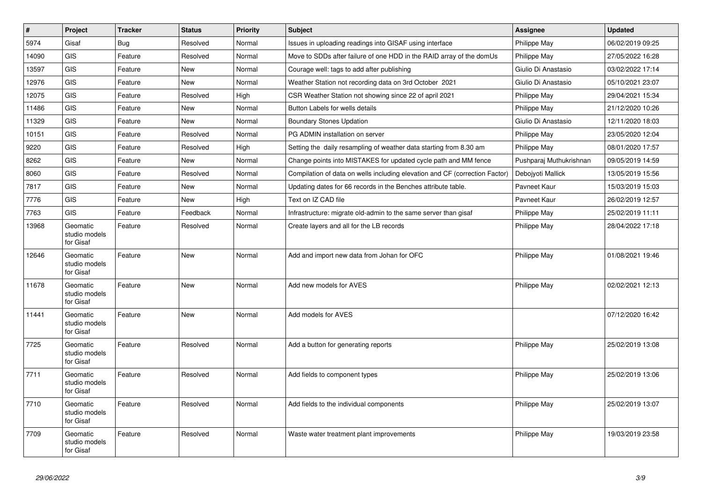| $\pmb{\#}$ | Project                                | <b>Tracker</b> | <b>Status</b> | <b>Priority</b> | <b>Subject</b>                                                              | <b>Assignee</b>         | <b>Updated</b>   |
|------------|----------------------------------------|----------------|---------------|-----------------|-----------------------------------------------------------------------------|-------------------------|------------------|
| 5974       | Gisaf                                  | <b>Bug</b>     | Resolved      | Normal          | Issues in uploading readings into GISAF using interface                     | Philippe May            | 06/02/2019 09:25 |
| 14090      | <b>GIS</b>                             | Feature        | Resolved      | Normal          | Move to SDDs after failure of one HDD in the RAID array of the domUs        | Philippe May            | 27/05/2022 16:28 |
| 13597      | <b>GIS</b>                             | Feature        | <b>New</b>    | Normal          | Courage well: tags to add after publishing                                  | Giulio Di Anastasio     | 03/02/2022 17:14 |
| 12976      | <b>GIS</b>                             | Feature        | <b>New</b>    | Normal          | Weather Station not recording data on 3rd October 2021                      | Giulio Di Anastasio     | 05/10/2021 23:07 |
| 12075      | <b>GIS</b>                             | Feature        | Resolved      | High            | CSR Weather Station not showing since 22 of april 2021                      | Philippe May            | 29/04/2021 15:34 |
| 11486      | <b>GIS</b>                             | Feature        | <b>New</b>    | Normal          | Button Labels for wells details                                             | Philippe May            | 21/12/2020 10:26 |
| 11329      | <b>GIS</b>                             | Feature        | New           | Normal          | <b>Boundary Stones Updation</b>                                             | Giulio Di Anastasio     | 12/11/2020 18:03 |
| 10151      | <b>GIS</b>                             | Feature        | Resolved      | Normal          | PG ADMIN installation on server                                             | Philippe May            | 23/05/2020 12:04 |
| 9220       | <b>GIS</b>                             | Feature        | Resolved      | High            | Setting the daily resampling of weather data starting from 8.30 am          | Philippe May            | 08/01/2020 17:57 |
| 8262       | <b>GIS</b>                             | Feature        | <b>New</b>    | Normal          | Change points into MISTAKES for updated cycle path and MM fence             | Pushparaj Muthukrishnan | 09/05/2019 14:59 |
| 8060       | <b>GIS</b>                             | Feature        | Resolved      | Normal          | Compilation of data on wells including elevation and CF (correction Factor) | Debojyoti Mallick       | 13/05/2019 15:56 |
| 7817       | <b>GIS</b>                             | Feature        | <b>New</b>    | Normal          | Updating dates for 66 records in the Benches attribute table.               | Pavneet Kaur            | 15/03/2019 15:03 |
| 7776       | <b>GIS</b>                             | Feature        | <b>New</b>    | High            | Text on IZ CAD file                                                         | Pavneet Kaur            | 26/02/2019 12:57 |
| 7763       | <b>GIS</b>                             | Feature        | Feedback      | Normal          | Infrastructure: migrate old-admin to the same server than gisaf             | Philippe May            | 25/02/2019 11:11 |
| 13968      | Geomatic<br>studio models<br>for Gisaf | Feature        | Resolved      | Normal          | Create layers and all for the LB records                                    | Philippe May            | 28/04/2022 17:18 |
| 12646      | Geomatic<br>studio models<br>for Gisaf | Feature        | New           | Normal          | Add and import new data from Johan for OFC                                  | Philippe May            | 01/08/2021 19:46 |
| 11678      | Geomatic<br>studio models<br>for Gisaf | Feature        | <b>New</b>    | Normal          | Add new models for AVES                                                     | Philippe May            | 02/02/2021 12:13 |
| 11441      | Geomatic<br>studio models<br>for Gisaf | Feature        | <b>New</b>    | Normal          | Add models for AVES                                                         |                         | 07/12/2020 16:42 |
| 7725       | Geomatic<br>studio models<br>for Gisaf | Feature        | Resolved      | Normal          | Add a button for generating reports                                         | Philippe May            | 25/02/2019 13:08 |
| 7711       | Geomatic<br>studio models<br>for Gisaf | Feature        | Resolved      | Normal          | Add fields to component types                                               | Philippe May            | 25/02/2019 13:06 |
| 7710       | Geomatic<br>studio models<br>for Gisaf | Feature        | Resolved      | Normal          | Add fields to the individual components                                     | Philippe May            | 25/02/2019 13:07 |
| 7709       | Geomatic<br>studio models<br>for Gisaf | Feature        | Resolved      | Normal          | Waste water treatment plant improvements                                    | Philippe May            | 19/03/2019 23:58 |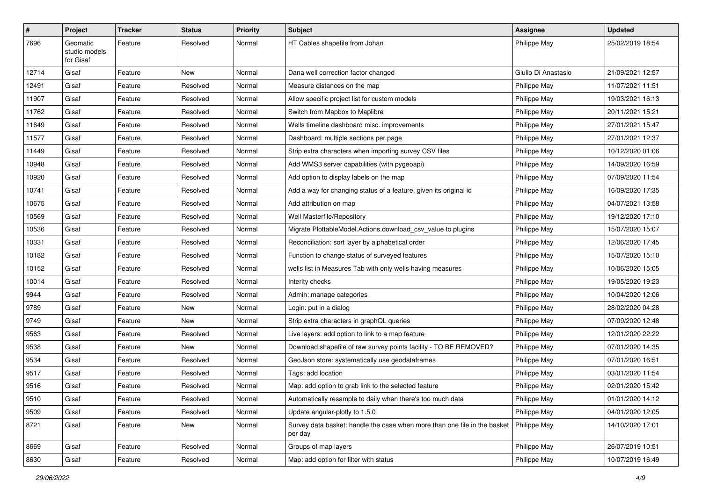| $\#$  | Project                                | <b>Tracker</b> | <b>Status</b> | <b>Priority</b> | <b>Subject</b>                                                                       | <b>Assignee</b>     | <b>Updated</b>   |
|-------|----------------------------------------|----------------|---------------|-----------------|--------------------------------------------------------------------------------------|---------------------|------------------|
| 7696  | Geomatic<br>studio models<br>for Gisaf | Feature        | Resolved      | Normal          | HT Cables shapefile from Johan                                                       | Philippe May        | 25/02/2019 18:54 |
| 12714 | Gisaf                                  | Feature        | New           | Normal          | Dana well correction factor changed                                                  | Giulio Di Anastasio | 21/09/2021 12:57 |
| 12491 | Gisaf                                  | Feature        | Resolved      | Normal          | Measure distances on the map                                                         | Philippe May        | 11/07/2021 11:51 |
| 11907 | Gisaf                                  | Feature        | Resolved      | Normal          | Allow specific project list for custom models                                        | Philippe May        | 19/03/2021 16:13 |
| 11762 | Gisaf                                  | Feature        | Resolved      | Normal          | Switch from Mapbox to Maplibre                                                       | Philippe May        | 20/11/2021 15:21 |
| 11649 | Gisaf                                  | Feature        | Resolved      | Normal          | Wells timeline dashboard misc. improvements                                          | Philippe May        | 27/01/2021 15:47 |
| 11577 | Gisaf                                  | Feature        | Resolved      | Normal          | Dashboard: multiple sections per page                                                | Philippe May        | 27/01/2021 12:37 |
| 11449 | Gisaf                                  | Feature        | Resolved      | Normal          | Strip extra characters when importing survey CSV files                               | Philippe May        | 10/12/2020 01:06 |
| 10948 | Gisaf                                  | Feature        | Resolved      | Normal          | Add WMS3 server capabilities (with pygeoapi)                                         | Philippe May        | 14/09/2020 16:59 |
| 10920 | Gisaf                                  | Feature        | Resolved      | Normal          | Add option to display labels on the map                                              | Philippe May        | 07/09/2020 11:54 |
| 10741 | Gisaf                                  | Feature        | Resolved      | Normal          | Add a way for changing status of a feature, given its original id                    | Philippe May        | 16/09/2020 17:35 |
| 10675 | Gisaf                                  | Feature        | Resolved      | Normal          | Add attribution on map                                                               | Philippe May        | 04/07/2021 13:58 |
| 10569 | Gisaf                                  | Feature        | Resolved      | Normal          | Well Masterfile/Repository                                                           | Philippe May        | 19/12/2020 17:10 |
| 10536 | Gisaf                                  | Feature        | Resolved      | Normal          | Migrate PlottableModel.Actions.download_csv_value to plugins                         | Philippe May        | 15/07/2020 15:07 |
| 10331 | Gisaf                                  | Feature        | Resolved      | Normal          | Reconciliation: sort layer by alphabetical order                                     | Philippe May        | 12/06/2020 17:45 |
| 10182 | Gisaf                                  | Feature        | Resolved      | Normal          | Function to change status of surveyed features                                       | Philippe May        | 15/07/2020 15:10 |
| 10152 | Gisaf                                  | Feature        | Resolved      | Normal          | wells list in Measures Tab with only wells having measures                           | Philippe May        | 10/06/2020 15:05 |
| 10014 | Gisaf                                  | Feature        | Resolved      | Normal          | Interity checks                                                                      | Philippe May        | 19/05/2020 19:23 |
| 9944  | Gisaf                                  | Feature        | Resolved      | Normal          | Admin: manage categories                                                             | Philippe May        | 10/04/2020 12:06 |
| 9789  | Gisaf                                  | Feature        | New           | Normal          | Login: put in a dialog                                                               | Philippe May        | 28/02/2020 04:28 |
| 9749  | Gisaf                                  | Feature        | New           | Normal          | Strip extra characters in graphQL queries                                            | Philippe May        | 07/09/2020 12:48 |
| 9563  | Gisaf                                  | Feature        | Resolved      | Normal          | Live layers: add option to link to a map feature                                     | Philippe May        | 12/01/2020 22:22 |
| 9538  | Gisaf                                  | Feature        | New           | Normal          | Download shapefile of raw survey points facility - TO BE REMOVED?                    | Philippe May        | 07/01/2020 14:35 |
| 9534  | Gisaf                                  | Feature        | Resolved      | Normal          | GeoJson store: systematically use geodataframes                                      | Philippe May        | 07/01/2020 16:51 |
| 9517  | Gisaf                                  | Feature        | Resolved      | Normal          | Tags: add location                                                                   | Philippe May        | 03/01/2020 11:54 |
| 9516  | Gisaf                                  | Feature        | Resolved      | Normal          | Map: add option to grab link to the selected feature                                 | Philippe May        | 02/01/2020 15:42 |
| 9510  | Gisaf                                  | Feature        | Resolved      | Normal          | Automatically resample to daily when there's too much data                           | Philippe May        | 01/01/2020 14:12 |
| 9509  | Gisaf                                  | Feature        | Resolved      | Normal          | Update angular-plotly to 1.5.0                                                       | Philippe May        | 04/01/2020 12:05 |
| 8721  | Gisaf                                  | Feature        | New           | Normal          | Survey data basket: handle the case when more than one file in the basket<br>per day | Philippe May        | 14/10/2020 17:01 |
| 8669  | Gisaf                                  | Feature        | Resolved      | Normal          | Groups of map layers                                                                 | Philippe May        | 26/07/2019 10:51 |
| 8630  | Gisaf                                  | Feature        | Resolved      | Normal          | Map: add option for filter with status                                               | Philippe May        | 10/07/2019 16:49 |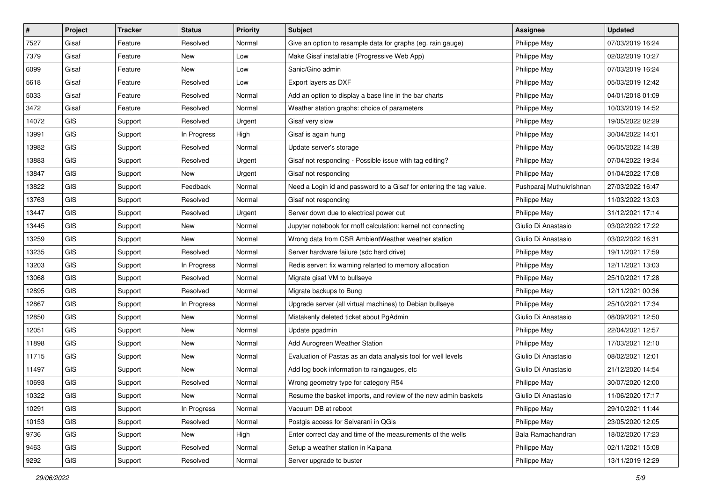| #     | Project    | <b>Tracker</b> | <b>Status</b> | Priority | <b>Subject</b>                                                      | <b>Assignee</b>         | <b>Updated</b>   |
|-------|------------|----------------|---------------|----------|---------------------------------------------------------------------|-------------------------|------------------|
| 7527  | Gisaf      | Feature        | Resolved      | Normal   | Give an option to resample data for graphs (eg. rain gauge)         | Philippe May            | 07/03/2019 16:24 |
| 7379  | Gisaf      | Feature        | New           | Low      | Make Gisaf installable (Progressive Web App)                        | Philippe May            | 02/02/2019 10:27 |
| 6099  | Gisaf      | Feature        | New           | Low      | Sanic/Gino admin                                                    | Philippe May            | 07/03/2019 16:24 |
| 5618  | Gisaf      | Feature        | Resolved      | Low      | Export layers as DXF                                                | Philippe May            | 05/03/2019 12:42 |
| 5033  | Gisaf      | Feature        | Resolved      | Normal   | Add an option to display a base line in the bar charts              | Philippe May            | 04/01/2018 01:09 |
| 3472  | Gisaf      | Feature        | Resolved      | Normal   | Weather station graphs: choice of parameters                        | Philippe May            | 10/03/2019 14:52 |
| 14072 | <b>GIS</b> | Support        | Resolved      | Urgent   | Gisaf very slow                                                     | Philippe May            | 19/05/2022 02:29 |
| 13991 | <b>GIS</b> | Support        | In Progress   | High     | Gisaf is again hung                                                 | Philippe May            | 30/04/2022 14:01 |
| 13982 | <b>GIS</b> | Support        | Resolved      | Normal   | Update server's storage                                             | Philippe May            | 06/05/2022 14:38 |
| 13883 | <b>GIS</b> | Support        | Resolved      | Urgent   | Gisaf not responding - Possible issue with tag editing?             | Philippe May            | 07/04/2022 19:34 |
| 13847 | <b>GIS</b> | Support        | New           | Urgent   | Gisaf not responding                                                | Philippe May            | 01/04/2022 17:08 |
| 13822 | <b>GIS</b> | Support        | Feedback      | Normal   | Need a Login id and password to a Gisaf for entering the tag value. | Pushparaj Muthukrishnan | 27/03/2022 16:47 |
| 13763 | <b>GIS</b> | Support        | Resolved      | Normal   | Gisaf not responding                                                | Philippe May            | 11/03/2022 13:03 |
| 13447 | <b>GIS</b> | Support        | Resolved      | Urgent   | Server down due to electrical power cut                             | Philippe May            | 31/12/2021 17:14 |
| 13445 | <b>GIS</b> | Support        | New           | Normal   | Jupyter notebook for rnoff calculation: kernel not connecting       | Giulio Di Anastasio     | 03/02/2022 17:22 |
| 13259 | <b>GIS</b> | Support        | New           | Normal   | Wrong data from CSR AmbientWeather weather station                  | Giulio Di Anastasio     | 03/02/2022 16:31 |
| 13235 | <b>GIS</b> | Support        | Resolved      | Normal   | Server hardware failure (sdc hard drive)                            | Philippe May            | 19/11/2021 17:59 |
| 13203 | <b>GIS</b> | Support        | In Progress   | Normal   | Redis server: fix warning relarted to memory allocation             | Philippe May            | 12/11/2021 13:03 |
| 13068 | <b>GIS</b> | Support        | Resolved      | Normal   | Migrate gisaf VM to bullseye                                        | Philippe May            | 25/10/2021 17:28 |
| 12895 | <b>GIS</b> | Support        | Resolved      | Normal   | Migrate backups to Bung                                             | Philippe May            | 12/11/2021 00:36 |
| 12867 | <b>GIS</b> | Support        | In Progress   | Normal   | Upgrade server (all virtual machines) to Debian bullseye            | Philippe May            | 25/10/2021 17:34 |
| 12850 | <b>GIS</b> | Support        | <b>New</b>    | Normal   | Mistakenly deleted ticket about PgAdmin                             | Giulio Di Anastasio     | 08/09/2021 12:50 |
| 12051 | <b>GIS</b> | Support        | New           | Normal   | Update pgadmin                                                      | Philippe May            | 22/04/2021 12:57 |
| 11898 | <b>GIS</b> | Support        | New           | Normal   | Add Aurogreen Weather Station                                       | Philippe May            | 17/03/2021 12:10 |
| 11715 | <b>GIS</b> | Support        | New           | Normal   | Evaluation of Pastas as an data analysis tool for well levels       | Giulio Di Anastasio     | 08/02/2021 12:01 |
| 11497 | <b>GIS</b> | Support        | <b>New</b>    | Normal   | Add log book information to raingauges, etc                         | Giulio Di Anastasio     | 21/12/2020 14:54 |
| 10693 | <b>GIS</b> | Support        | Resolved      | Normal   | Wrong geometry type for category R54                                | Philippe May            | 30/07/2020 12:00 |
| 10322 | GIS        | Support        | New           | Normal   | Resume the basket imports, and review of the new admin baskets      | Giulio Di Anastasio     | 11/06/2020 17:17 |
| 10291 | GIS        | Support        | In Progress   | Normal   | Vacuum DB at reboot                                                 | Philippe May            | 29/10/2021 11:44 |
| 10153 | GIS        | Support        | Resolved      | Normal   | Postgis access for Selvarani in QGis                                | Philippe May            | 23/05/2020 12:05 |
| 9736  | GIS        | Support        | New           | High     | Enter correct day and time of the measurements of the wells         | Bala Ramachandran       | 18/02/2020 17:23 |
| 9463  | GIS        | Support        | Resolved      | Normal   | Setup a weather station in Kalpana                                  | Philippe May            | 02/11/2021 15:08 |
| 9292  | GIS        | Support        | Resolved      | Normal   | Server upgrade to buster                                            | Philippe May            | 13/11/2019 12:29 |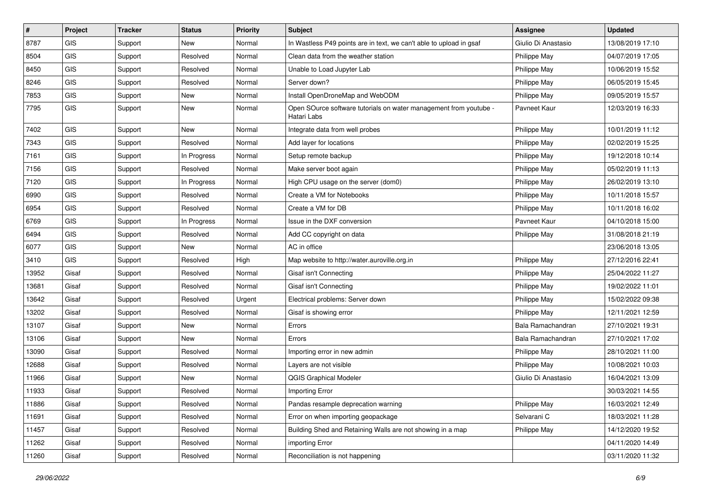| #     | Project    | <b>Tracker</b> | <b>Status</b> | <b>Priority</b> | Subject                                                                          | Assignee            | <b>Updated</b>   |
|-------|------------|----------------|---------------|-----------------|----------------------------------------------------------------------------------|---------------------|------------------|
| 8787  | <b>GIS</b> | Support        | New           | Normal          | In Wastless P49 points are in text, we can't able to upload in gsaf              | Giulio Di Anastasio | 13/08/2019 17:10 |
| 8504  | <b>GIS</b> | Support        | Resolved      | Normal          | Clean data from the weather station                                              | Philippe May        | 04/07/2019 17:05 |
| 8450  | GIS        | Support        | Resolved      | Normal          | Unable to Load Jupyter Lab                                                       | Philippe May        | 10/06/2019 15:52 |
| 8246  | GIS        | Support        | Resolved      | Normal          | Server down?                                                                     | Philippe May        | 06/05/2019 15:45 |
| 7853  | GIS        | Support        | <b>New</b>    | Normal          | Install OpenDroneMap and WebODM                                                  | Philippe May        | 09/05/2019 15:57 |
| 7795  | GIS        | Support        | New           | Normal          | Open SOurce software tutorials on water management from youtube -<br>Hatari Labs | Pavneet Kaur        | 12/03/2019 16:33 |
| 7402  | GIS        | Support        | <b>New</b>    | Normal          | Integrate data from well probes                                                  | Philippe May        | 10/01/2019 11:12 |
| 7343  | GIS        | Support        | Resolved      | Normal          | Add layer for locations                                                          | Philippe May        | 02/02/2019 15:25 |
| 7161  | GIS        | Support        | In Progress   | Normal          | Setup remote backup                                                              | Philippe May        | 19/12/2018 10:14 |
| 7156  | GIS        | Support        | Resolved      | Normal          | Make server boot again                                                           | Philippe May        | 05/02/2019 11:13 |
| 7120  | GIS        | Support        | In Progress   | Normal          | High CPU usage on the server (dom0)                                              | Philippe May        | 26/02/2019 13:10 |
| 6990  | GIS        | Support        | Resolved      | Normal          | Create a VM for Notebooks                                                        | Philippe May        | 10/11/2018 15:57 |
| 6954  | <b>GIS</b> | Support        | Resolved      | Normal          | Create a VM for DB                                                               | Philippe May        | 10/11/2018 16:02 |
| 6769  | GIS        | Support        | In Progress   | Normal          | Issue in the DXF conversion                                                      | Payneet Kaur        | 04/10/2018 15:00 |
| 6494  | GIS        | Support        | Resolved      | Normal          | Add CC copyright on data                                                         | Philippe May        | 31/08/2018 21:19 |
| 6077  | GIS        | Support        | New           | Normal          | AC in office                                                                     |                     | 23/06/2018 13:05 |
| 3410  | GIS        | Support        | Resolved      | High            | Map website to http://water.auroville.org.in                                     | Philippe May        | 27/12/2016 22:41 |
| 13952 | Gisaf      | Support        | Resolved      | Normal          | Gisaf isn't Connecting                                                           | Philippe May        | 25/04/2022 11:27 |
| 13681 | Gisaf      | Support        | Resolved      | Normal          | Gisaf isn't Connecting                                                           | Philippe May        | 19/02/2022 11:01 |
| 13642 | Gisaf      | Support        | Resolved      | Urgent          | Electrical problems: Server down                                                 | Philippe May        | 15/02/2022 09:38 |
| 13202 | Gisaf      | Support        | Resolved      | Normal          | Gisaf is showing error                                                           | Philippe May        | 12/11/2021 12:59 |
| 13107 | Gisaf      | Support        | <b>New</b>    | Normal          | Errors                                                                           | Bala Ramachandran   | 27/10/2021 19:31 |
| 13106 | Gisaf      | Support        | New           | Normal          | Errors                                                                           | Bala Ramachandran   | 27/10/2021 17:02 |
| 13090 | Gisaf      | Support        | Resolved      | Normal          | Importing error in new admin                                                     | Philippe May        | 28/10/2021 11:00 |
| 12688 | Gisaf      | Support        | Resolved      | Normal          | Layers are not visible                                                           | Philippe May        | 10/08/2021 10:03 |
| 11966 | Gisaf      | Support        | New           | Normal          | <b>QGIS Graphical Modeler</b>                                                    | Giulio Di Anastasio | 16/04/2021 13:09 |
| 11933 | Gisaf      | Support        | Resolved      | Normal          | <b>Importing Error</b>                                                           |                     | 30/03/2021 14:55 |
| 11886 | Gisaf      | Support        | Resolved      | Normal          | Pandas resample deprecation warning                                              | Philippe May        | 16/03/2021 12:49 |
| 11691 | Gisaf      | Support        | Resolved      | Normal          | Error on when importing geopackage                                               | Selvarani C         | 18/03/2021 11:28 |
| 11457 | Gisaf      | Support        | Resolved      | Normal          | Building Shed and Retaining Walls are not showing in a map                       | Philippe May        | 14/12/2020 19:52 |
| 11262 | Gisaf      | Support        | Resolved      | Normal          | importing Error                                                                  |                     | 04/11/2020 14:49 |
| 11260 | Gisaf      | Support        | Resolved      | Normal          | Reconciliation is not happening                                                  |                     | 03/11/2020 11:32 |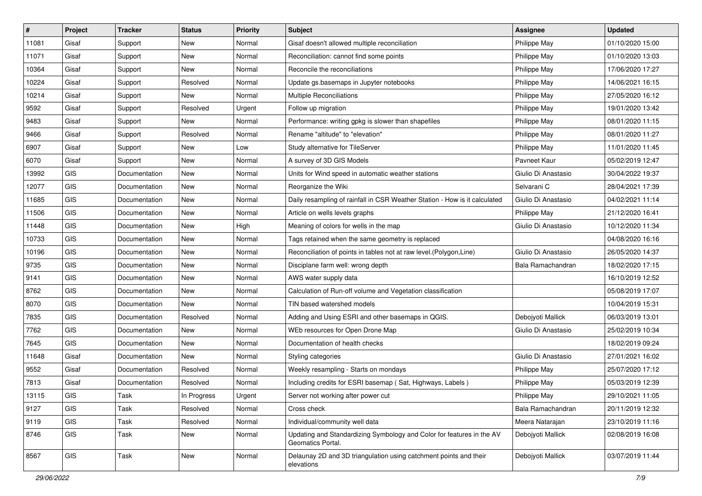| #     | Project    | <b>Tracker</b> | <b>Status</b> | <b>Priority</b> | <b>Subject</b>                                                                             | Assignee            | <b>Updated</b>   |
|-------|------------|----------------|---------------|-----------------|--------------------------------------------------------------------------------------------|---------------------|------------------|
| 11081 | Gisaf      | Support        | New           | Normal          | Gisaf doesn't allowed multiple reconciliation                                              | Philippe May        | 01/10/2020 15:00 |
| 11071 | Gisaf      | Support        | <b>New</b>    | Normal          | Reconciliation: cannot find some points                                                    | Philippe May        | 01/10/2020 13:03 |
| 10364 | Gisaf      | Support        | New           | Normal          | Reconcile the reconciliations                                                              | Philippe May        | 17/06/2020 17:27 |
| 10224 | Gisaf      | Support        | Resolved      | Normal          | Update gs.basemaps in Jupyter notebooks                                                    | Philippe May        | 14/06/2021 16:15 |
| 10214 | Gisaf      | Support        | New           | Normal          | <b>Multiple Reconciliations</b>                                                            | Philippe May        | 27/05/2020 16:12 |
| 9592  | Gisaf      | Support        | Resolved      | Urgent          | Follow up migration                                                                        | Philippe May        | 19/01/2020 13:42 |
| 9483  | Gisaf      | Support        | New           | Normal          | Performance: writing gpkg is slower than shapefiles                                        | Philippe May        | 08/01/2020 11:15 |
| 9466  | Gisaf      | Support        | Resolved      | Normal          | Rename "altitude" to "elevation"                                                           | Philippe May        | 08/01/2020 11:27 |
| 6907  | Gisaf      | Support        | New           | Low             | Study alternative for TileServer                                                           | Philippe May        | 11/01/2020 11:45 |
| 6070  | Gisaf      | Support        | New           | Normal          | A survey of 3D GIS Models                                                                  | Pavneet Kaur        | 05/02/2019 12:47 |
| 13992 | <b>GIS</b> | Documentation  | New           | Normal          | Units for Wind speed in automatic weather stations                                         | Giulio Di Anastasio | 30/04/2022 19:37 |
| 12077 | <b>GIS</b> | Documentation  | New           | Normal          | Reorganize the Wiki                                                                        | Selvarani C         | 28/04/2021 17:39 |
| 11685 | <b>GIS</b> | Documentation  | New           | Normal          | Daily resampling of rainfall in CSR Weather Station - How is it calculated                 | Giulio Di Anastasio | 04/02/2021 11:14 |
| 11506 | <b>GIS</b> | Documentation  | <b>New</b>    | Normal          | Article on wells levels graphs                                                             | Philippe May        | 21/12/2020 16:41 |
| 11448 | GIS        | Documentation  | New           | High            | Meaning of colors for wells in the map                                                     | Giulio Di Anastasio | 10/12/2020 11:34 |
| 10733 | <b>GIS</b> | Documentation  | New           | Normal          | Tags retained when the same geometry is replaced                                           |                     | 04/08/2020 16:16 |
| 10196 | GIS        | Documentation  | New           | Normal          | Reconciliation of points in tables not at raw level. (Polygon, Line)                       | Giulio Di Anastasio | 26/05/2020 14:37 |
| 9735  | <b>GIS</b> | Documentation  | <b>New</b>    | Normal          | Disciplane farm well: wrong depth                                                          | Bala Ramachandran   | 18/02/2020 17:15 |
| 9141  | <b>GIS</b> | Documentation  | New           | Normal          | AWS water supply data                                                                      |                     | 16/10/2019 12:52 |
| 8762  | <b>GIS</b> | Documentation  | <b>New</b>    | Normal          | Calculation of Run-off volume and Vegetation classification                                |                     | 05/08/2019 17:07 |
| 8070  | <b>GIS</b> | Documentation  | New           | Normal          | TIN based watershed models                                                                 |                     | 10/04/2019 15:31 |
| 7835  | <b>GIS</b> | Documentation  | Resolved      | Normal          | Adding and Using ESRI and other basemaps in QGIS.                                          | Debojyoti Mallick   | 06/03/2019 13:01 |
| 7762  | GIS        | Documentation  | New           | Normal          | WEb resources for Open Drone Map                                                           | Giulio Di Anastasio | 25/02/2019 10:34 |
| 7645  | GIS        | Documentation  | New           | Normal          | Documentation of health checks                                                             |                     | 18/02/2019 09:24 |
| 11648 | Gisaf      | Documentation  | New           | Normal          | Styling categories                                                                         | Giulio Di Anastasio | 27/01/2021 16:02 |
| 9552  | Gisaf      | Documentation  | Resolved      | Normal          | Weekly resampling - Starts on mondays                                                      | Philippe May        | 25/07/2020 17:12 |
| 7813  | Gisaf      | Documentation  | Resolved      | Normal          | Including credits for ESRI basemap (Sat, Highways, Labels)                                 | Philippe May        | 05/03/2019 12:39 |
| 13115 | GIS        | Task           | In Progress   | Urgent          | Server not working after power cut                                                         | Philippe May        | 29/10/2021 11:05 |
| 9127  | <b>GIS</b> | Task           | Resolved      | Normal          | Cross check                                                                                | Bala Ramachandran   | 20/11/2019 12:32 |
| 9119  | GIS        | Task           | Resolved      | Normal          | Individual/community well data                                                             | Meera Natarajan     | 23/10/2019 11:16 |
| 8746  | <b>GIS</b> | Task           | New           | Normal          | Updating and Standardizing Symbology and Color for features in the AV<br>Geomatics Portal. | Debojyoti Mallick   | 02/08/2019 16:08 |
| 8567  | GIS        | Task           | New           | Normal          | Delaunay 2D and 3D triangulation using catchment points and their<br>elevations            | Debojyoti Mallick   | 03/07/2019 11:44 |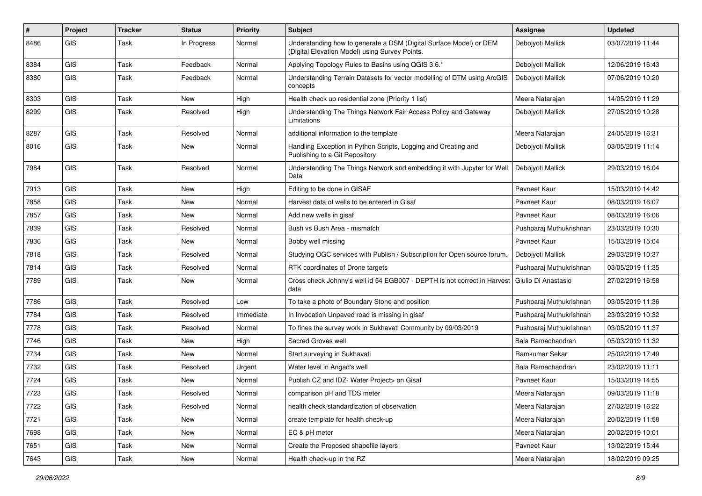| #    | Project    | <b>Tracker</b> | <b>Status</b> | <b>Priority</b> | Subject                                                                                                              | Assignee                | <b>Updated</b>   |
|------|------------|----------------|---------------|-----------------|----------------------------------------------------------------------------------------------------------------------|-------------------------|------------------|
| 8486 | <b>GIS</b> | Task           | In Progress   | Normal          | Understanding how to generate a DSM (Digital Surface Model) or DEM<br>(Digital Elevation Model) using Survey Points. | Debojyoti Mallick       | 03/07/2019 11:44 |
| 8384 | <b>GIS</b> | Task           | Feedback      | Normal          | Applying Topology Rules to Basins using QGIS 3.6.*                                                                   | Debojyoti Mallick       | 12/06/2019 16:43 |
| 8380 | GIS        | Task           | Feedback      | Normal          | Understanding Terrain Datasets for vector modelling of DTM using ArcGIS<br>concepts                                  | Debojyoti Mallick       | 07/06/2019 10:20 |
| 8303 | GIS        | Task           | <b>New</b>    | High            | Health check up residential zone (Priority 1 list)                                                                   | Meera Natarajan         | 14/05/2019 11:29 |
| 8299 | GIS        | Task           | Resolved      | High            | Understanding The Things Network Fair Access Policy and Gateway<br>Limitations                                       | Deboivoti Mallick       | 27/05/2019 10:28 |
| 8287 | GIS        | Task           | Resolved      | Normal          | additional information to the template                                                                               | Meera Natarajan         | 24/05/2019 16:31 |
| 8016 | GIS        | Task           | <b>New</b>    | Normal          | Handling Exception in Python Scripts, Logging and Creating and<br>Publishing to a Git Repository                     | Debojyoti Mallick       | 03/05/2019 11:14 |
| 7984 | GIS        | Task           | Resolved      | Normal          | Understanding The Things Network and embedding it with Jupyter for Well<br>Data                                      | Debojyoti Mallick       | 29/03/2019 16:04 |
| 7913 | <b>GIS</b> | Task           | <b>New</b>    | High            | Editing to be done in GISAF                                                                                          | Pavneet Kaur            | 15/03/2019 14:42 |
| 7858 | GIS        | Task           | New           | Normal          | Harvest data of wells to be entered in Gisaf                                                                         | Pavneet Kaur            | 08/03/2019 16:07 |
| 7857 | GIS        | Task           | <b>New</b>    | Normal          | Add new wells in gisaf                                                                                               | Pavneet Kaur            | 08/03/2019 16:06 |
| 7839 | GIS        | Task           | Resolved      | Normal          | Bush vs Bush Area - mismatch                                                                                         | Pushparaj Muthukrishnan | 23/03/2019 10:30 |
| 7836 | <b>GIS</b> | Task           | <b>New</b>    | Normal          | Bobby well missing                                                                                                   | Pavneet Kaur            | 15/03/2019 15:04 |
| 7818 | <b>GIS</b> | Task           | Resolved      | Normal          | Studying OGC services with Publish / Subscription for Open source forum.                                             | Debojyoti Mallick       | 29/03/2019 10:37 |
| 7814 | <b>GIS</b> | Task           | Resolved      | Normal          | RTK coordinates of Drone targets                                                                                     | Pushparaj Muthukrishnan | 03/05/2019 11:35 |
| 7789 | <b>GIS</b> | Task           | <b>New</b>    | Normal          | Cross check Johnny's well id 54 EGB007 - DEPTH is not correct in Harvest<br>data                                     | l Giulio Di Anastasio   | 27/02/2019 16:58 |
| 7786 | GIS        | Task           | Resolved      | Low             | To take a photo of Boundary Stone and position                                                                       | Pushparaj Muthukrishnan | 03/05/2019 11:36 |
| 7784 | <b>GIS</b> | Task           | Resolved      | Immediate       | In Invocation Unpaved road is missing in gisaf                                                                       | Pushparaj Muthukrishnan | 23/03/2019 10:32 |
| 7778 | <b>GIS</b> | Task           | Resolved      | Normal          | To fines the survey work in Sukhavati Community by 09/03/2019                                                        | Pushparaj Muthukrishnan | 03/05/2019 11:37 |
| 7746 | GIS        | Task           | <b>New</b>    | High            | Sacred Groves well                                                                                                   | Bala Ramachandran       | 05/03/2019 11:32 |
| 7734 | <b>GIS</b> | Task           | <b>New</b>    | Normal          | Start surveying in Sukhavati                                                                                         | Ramkumar Sekar          | 25/02/2019 17:49 |
| 7732 | <b>GIS</b> | Task           | Resolved      | Urgent          | Water level in Angad's well                                                                                          | Bala Ramachandran       | 23/02/2019 11:11 |
| 7724 | <b>GIS</b> | Task           | <b>New</b>    | Normal          | Publish CZ and IDZ- Water Project> on Gisaf                                                                          | Pavneet Kaur            | 15/03/2019 14:55 |
| 7723 | GIS        | Task           | Resolved      | Normal          | comparison pH and TDS meter                                                                                          | Meera Natarajan         | 09/03/2019 11:18 |
| 7722 | GIS        | Task           | Resolved      | Normal          | health check standardization of observation                                                                          | Meera Natarajan         | 27/02/2019 16:22 |
| 7721 | GIS        | Task           | New           | Normal          | create template for health check-up                                                                                  | Meera Natarajan         | 20/02/2019 11:58 |
| 7698 | GIS        | Task           | New           | Normal          | EC & pH meter                                                                                                        | Meera Natarajan         | 20/02/2019 10:01 |
| 7651 | GIS        | Task           | New           | Normal          | Create the Proposed shapefile layers                                                                                 | Pavneet Kaur            | 13/02/2019 15:44 |
| 7643 | GIS        | Task           | New           | Normal          | Health check-up in the RZ                                                                                            | Meera Natarajan         | 18/02/2019 09:25 |